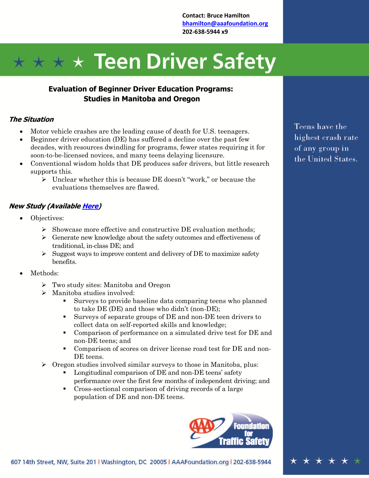**Contact: Bruce Hamilton [bhamilton@aaafoundation.org](mailto:bhamilton@aaafoundation.org) 202-638-5944 x9**

# $\star \star$  Teen Driver Safety

## **Evaluation of Beginner Driver Education Programs: Studies in Manitoba and Oregon**

#### **The Situation**

- Motor vehicle crashes are the leading cause of death for U.S. teenagers.
- Beginner driver education (DE) has suffered a decline over the past few decades, with resources dwindling for programs, fewer states requiring it for soon-to-be-licensed novices, and many teens delaying licensure.
- Conventional wisdom holds that DE produces safer drivers, but little research supports this.
	- $\triangleright$  Unclear whether this is because DE doesn't "work," or because the evaluations themselves are flawed.

#### **New Study (Availabl[e Here\)](https://www.aaafoundation.org/sites/default/files/LSEDE%20Final%20Full%20FTS%20Report%20Reduced%20File%20Size.pdf)**

- Objectives:
	- $\triangleright$  Showcase more effective and constructive DE evaluation methods:
	- $\triangleright$  Generate new knowledge about the safety outcomes and effectiveness of traditional, in-class DE; and
	- $\triangleright$  Suggest ways to improve content and delivery of DE to maximize safety benefits.
- Methods:
	- Two study sites: Manitoba and Oregon
	- $\triangleright$  Manitoba studies involved:
		- Surveys to provide baseline data comparing teens who planned to take DE (DE) and those who didn't (non-DE);
		- Surveys of separate groups of DE and non-DE teen drivers to collect data on self-reported skills and knowledge;
		- Comparison of performance on a simulated drive test for DE and non-DE teens; and
		- Comparison of scores on driver license road test for DE and non-DE teens.
	- $\triangleright$  Oregon studies involved similar surveys to those in Manitoba, plus:
		- Longitudinal comparison of DE and non-DE teens' safety performance over the first few months of independent driving; and
		- Cross-sectional comparison of driving records of a large population of DE and non-DE teens.



Teens have the highest crash rate of any group in the United States.